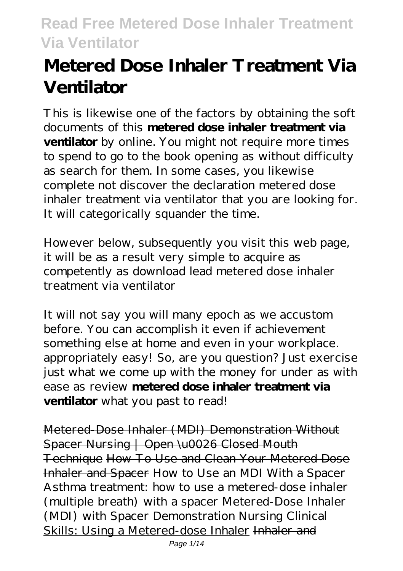# **Metered Dose Inhaler Treatment Via Ventilator**

This is likewise one of the factors by obtaining the soft documents of this **metered dose inhaler treatment via ventilator** by online. You might not require more times to spend to go to the book opening as without difficulty as search for them. In some cases, you likewise complete not discover the declaration metered dose inhaler treatment via ventilator that you are looking for. It will categorically squander the time.

However below, subsequently you visit this web page, it will be as a result very simple to acquire as competently as download lead metered dose inhaler treatment via ventilator

It will not say you will many epoch as we accustom before. You can accomplish it even if achievement something else at home and even in your workplace. appropriately easy! So, are you question? Just exercise just what we come up with the money for under as with ease as review **metered dose inhaler treatment via ventilator** what you past to read!

Metered-Dose Inhaler (MDI) Demonstration Without Spacer Nursing | Open \u0026 Closed Mouth Technique How To Use and Clean Your Metered Dose Inhaler and Spacer *How to Use an MDI With a Spacer Asthma treatment: how to use a metered-dose inhaler (multiple breath) with a spacer* Metered-Dose Inhaler (MDI) with Spacer Demonstration Nursing Clinical Skills: Using a Metered-dose Inhaler Inhaler and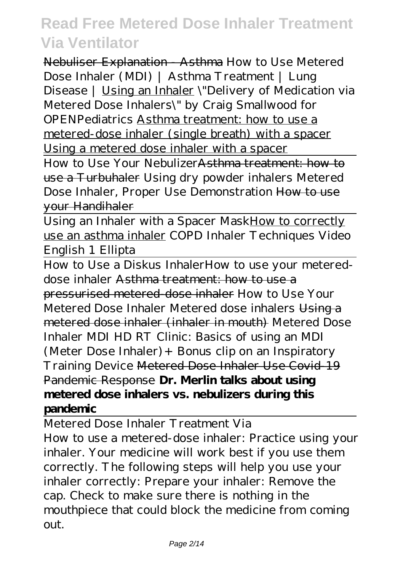Nebuliser Explanation - Asthma *How to Use Metered Dose Inhaler (MDI) | Asthma Treatment | Lung Disease |* Using an Inhaler \"Delivery of Medication via Metered Dose Inhalers\" by Craig Smallwood for OPENPediatrics Asthma treatment: how to use a metered-dose inhaler (single breath) with a spacer Using a metered dose inhaler with a spacer

How to Use Your NebulizerAsthma treatment: how to use a Turbuhaler *Using dry powder inhalers Metered Dose Inhaler, Proper Use Demonstration* How to use your Handihaler

Using an Inhaler with a Spacer MaskHow to correctly use an asthma inhaler *COPD Inhaler Techniques Video English 1 Ellipta*

How to Use a Diskus Inhaler*How to use your metereddose inhaler* Asthma treatment: how to use a pressurised metered-dose inhaler *How to Use Your Metered Dose Inhaler Metered dose inhalers* Using a metered dose inhaler (inhaler in mouth) Metered Dose Inhaler MDI HD *RT Clinic: Basics of using an MDI (Meter Dose Inhaler)+ Bonus clip on an Inspiratory Training Device* Metered Dose Inhaler Use Covid-19 Pandemic Response **Dr. Merlin talks about using metered dose inhalers vs. nebulizers during this pandemic**

Metered Dose Inhaler Treatment Via

How to use a metered-dose inhaler: Practice using your inhaler. Your medicine will work best if you use them correctly. The following steps will help you use your inhaler correctly: Prepare your inhaler: Remove the cap. Check to make sure there is nothing in the mouthpiece that could block the medicine from coming out.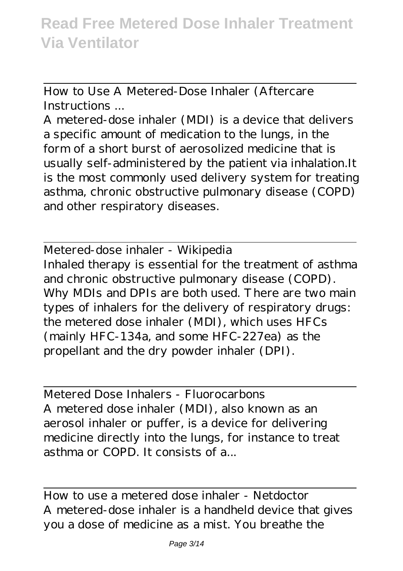How to Use A Metered-Dose Inhaler (Aftercare Instructions ...

A metered-dose inhaler (MDI) is a device that delivers a specific amount of medication to the lungs, in the form of a short burst of aerosolized medicine that is usually self-administered by the patient via inhalation.It is the most commonly used delivery system for treating asthma, chronic obstructive pulmonary disease (COPD) and other respiratory diseases.

Metered-dose inhaler - Wikipedia Inhaled therapy is essential for the treatment of asthma and chronic obstructive pulmonary disease (COPD). Why MDIs and DPIs are both used. There are two main types of inhalers for the delivery of respiratory drugs: the metered dose inhaler (MDI), which uses HFCs (mainly HFC-134a, and some HFC-227ea) as the propellant and the dry powder inhaler (DPI).

Metered Dose Inhalers - Fluorocarbons A metered dose inhaler (MDI), also known as an aerosol inhaler or puffer, is a device for delivering medicine directly into the lungs, for instance to treat asthma or COPD. It consists of a...

How to use a metered dose inhaler - Netdoctor A metered-dose inhaler is a handheld device that gives you a dose of medicine as a mist. You breathe the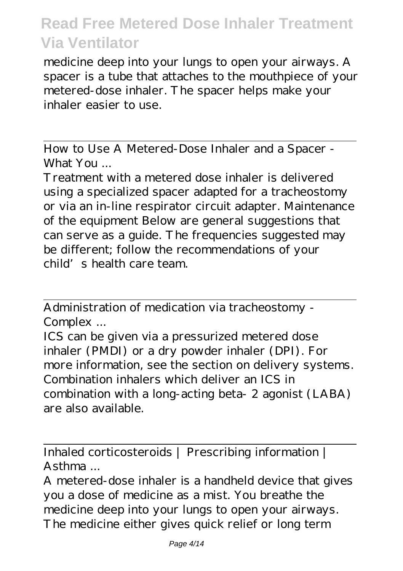medicine deep into your lungs to open your airways. A spacer is a tube that attaches to the mouthpiece of your metered-dose inhaler. The spacer helps make your inhaler easier to use.

How to Use A Metered-Dose Inhaler and a Spacer - What You ...

Treatment with a metered dose inhaler is delivered using a specialized spacer adapted for a tracheostomy or via an in-line respirator circuit adapter. Maintenance of the equipment Below are general suggestions that can serve as a guide. The frequencies suggested may be different; follow the recommendations of your child's health care team.

Administration of medication via tracheostomy - Complex ...

ICS can be given via a pressurized metered dose inhaler (PMDI) or a dry powder inhaler (DPI). For more information, see the section on delivery systems. Combination inhalers which deliver an ICS in combination with a long-acting beta- 2 agonist (LABA) are also available.

Inhaled corticosteroids | Prescribing information | Asthma ...

A metered-dose inhaler is a handheld device that gives you a dose of medicine as a mist. You breathe the medicine deep into your lungs to open your airways. The medicine either gives quick relief or long term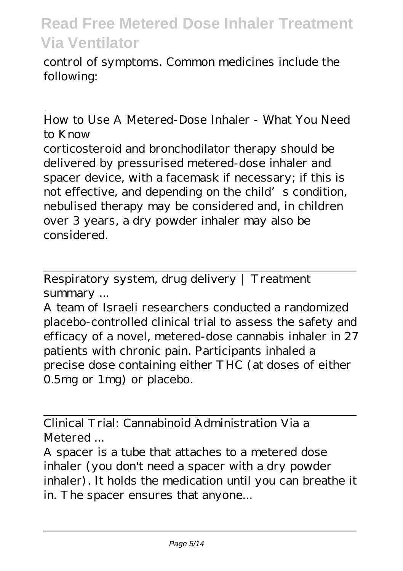control of symptoms. Common medicines include the following:

How to Use A Metered-Dose Inhaler - What You Need to Know corticosteroid and bronchodilator therapy should be delivered by pressurised metered-dose inhaler and spacer device, with a facemask if necessary; if this is not effective, and depending on the child's condition, nebulised therapy may be considered and, in children over 3 years, a dry powder inhaler may also be considered.

Respiratory system, drug delivery | Treatment summary ...

A team of Israeli researchers conducted a randomized placebo-controlled clinical trial to assess the safety and efficacy of a novel, metered-dose cannabis inhaler in 27 patients with chronic pain. Participants inhaled a precise dose containing either THC (at doses of either 0.5mg or 1mg) or placebo.

Clinical Trial: Cannabinoid Administration Via a Metered ...

A spacer is a tube that attaches to a metered dose inhaler (you don't need a spacer with a dry powder inhaler). It holds the medication until you can breathe it in. The spacer ensures that anyone...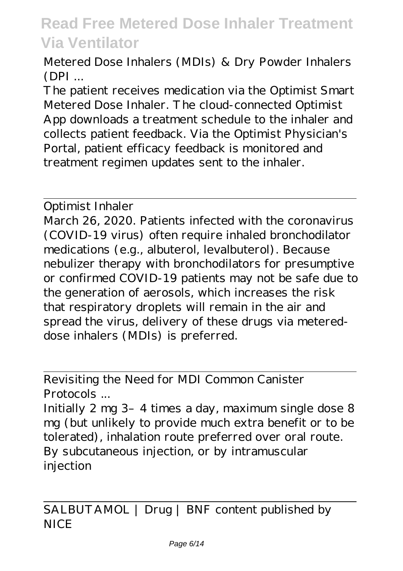Metered Dose Inhalers (MDIs) & Dry Powder Inhalers  $(DPI...$ 

The patient receives medication via the Optimist Smart Metered Dose Inhaler. The cloud-connected Optimist App downloads a treatment schedule to the inhaler and collects patient feedback. Via the Optimist Physician's Portal, patient efficacy feedback is monitored and treatment regimen updates sent to the inhaler.

Optimist Inhaler

March 26, 2020. Patients infected with the coronavirus (COVID-19 virus) often require inhaled bronchodilator medications (e.g., albuterol, levalbuterol). Because nebulizer therapy with bronchodilators for presumptive or confirmed COVID-19 patients may not be safe due to the generation of aerosols, which increases the risk that respiratory droplets will remain in the air and spread the virus, delivery of these drugs via metereddose inhalers (MDIs) is preferred.

Revisiting the Need for MDI Common Canister Protocols ...

Initially 2 mg 3-4 times a day, maximum single dose 8 mg (but unlikely to provide much extra benefit or to be tolerated), inhalation route preferred over oral route. By subcutaneous injection, or by intramuscular injection

SALBUTAMOL | Drug | BNF content published by **NICE**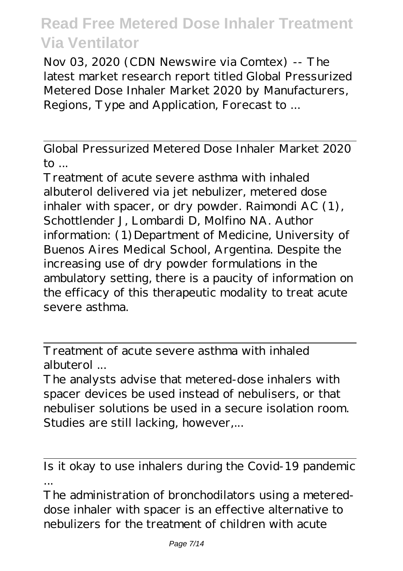Nov 03, 2020 (CDN Newswire via Comtex) -- The latest market research report titled Global Pressurized Metered Dose Inhaler Market 2020 by Manufacturers, Regions, Type and Application, Forecast to ...

Global Pressurized Metered Dose Inhaler Market 2020  $\mathsf{to}$ ...

Treatment of acute severe asthma with inhaled albuterol delivered via jet nebulizer, metered dose inhaler with spacer, or dry powder. Raimondi AC (1), Schottlender J, Lombardi D, Molfino NA. Author information: (1) Department of Medicine, University of Buenos Aires Medical School, Argentina. Despite the increasing use of dry powder formulations in the ambulatory setting, there is a paucity of information on the efficacy of this therapeutic modality to treat acute severe asthma.

Treatment of acute severe asthma with inhaled albuterol

The analysts advise that metered-dose inhalers with spacer devices be used instead of nebulisers, or that nebuliser solutions be used in a secure isolation room. Studies are still lacking, however,...

Is it okay to use inhalers during the Covid-19 pandemic ...

The administration of bronchodilators using a metereddose inhaler with spacer is an effective alternative to nebulizers for the treatment of children with acute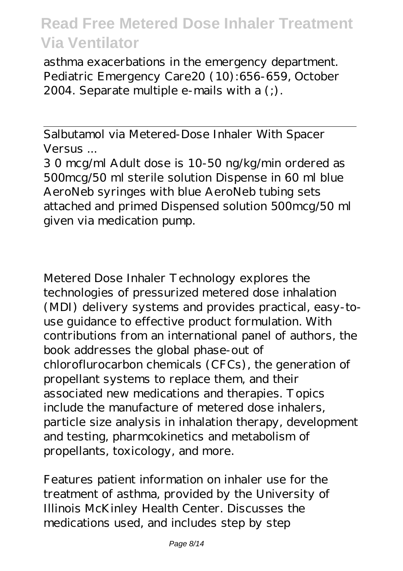asthma exacerbations in the emergency department. Pediatric Emergency Care20 (10):656-659, October 2004. Separate multiple e-mails with a (;).

Salbutamol via Metered-Dose Inhaler With Spacer Versus ...

3 0 mcg/ml Adult dose is 10-50 ng/kg/min ordered as 500mcg/50 ml sterile solution Dispense in 60 ml blue AeroNeb syringes with blue AeroNeb tubing sets attached and primed Dispensed solution 500mcg/50 ml given via medication pump.

Metered Dose Inhaler Technology explores the technologies of pressurized metered dose inhalation (MDI) delivery systems and provides practical, easy-touse guidance to effective product formulation. With contributions from an international panel of authors, the book addresses the global phase-out of chloroflurocarbon chemicals (CFCs), the generation of propellant systems to replace them, and their associated new medications and therapies. Topics include the manufacture of metered dose inhalers, particle size analysis in inhalation therapy, development and testing, pharmcokinetics and metabolism of propellants, toxicology, and more.

Features patient information on inhaler use for the treatment of asthma, provided by the University of Illinois McKinley Health Center. Discusses the medications used, and includes step by step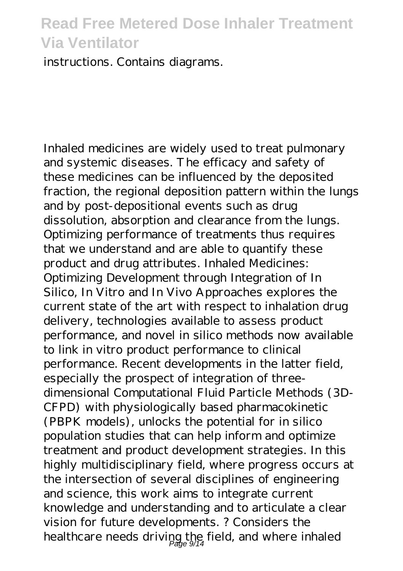instructions. Contains diagrams.

Inhaled medicines are widely used to treat pulmonary and systemic diseases. The efficacy and safety of these medicines can be influenced by the deposited fraction, the regional deposition pattern within the lungs and by post-depositional events such as drug dissolution, absorption and clearance from the lungs. Optimizing performance of treatments thus requires that we understand and are able to quantify these product and drug attributes. Inhaled Medicines: Optimizing Development through Integration of In Silico, In Vitro and In Vivo Approaches explores the current state of the art with respect to inhalation drug delivery, technologies available to assess product performance, and novel in silico methods now available to link in vitro product performance to clinical performance. Recent developments in the latter field, especially the prospect of integration of threedimensional Computational Fluid Particle Methods (3D-CFPD) with physiologically based pharmacokinetic (PBPK models), unlocks the potential for in silico population studies that can help inform and optimize treatment and product development strategies. In this highly multidisciplinary field, where progress occurs at the intersection of several disciplines of engineering and science, this work aims to integrate current knowledge and understanding and to articulate a clear vision for future developments. ? Considers the healthcare needs driving the field, and where inhaled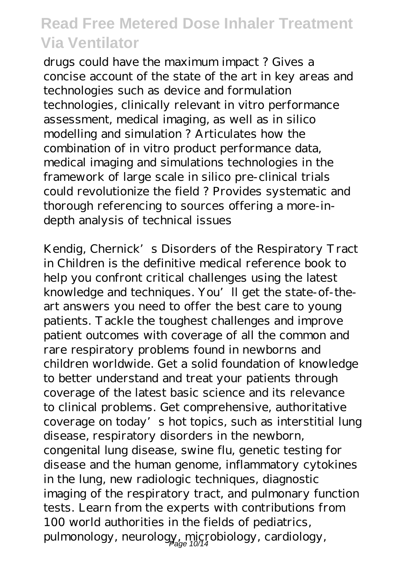drugs could have the maximum impact ? Gives a concise account of the state of the art in key areas and technologies such as device and formulation technologies, clinically relevant in vitro performance assessment, medical imaging, as well as in silico modelling and simulation ? Articulates how the combination of in vitro product performance data, medical imaging and simulations technologies in the framework of large scale in silico pre-clinical trials could revolutionize the field ? Provides systematic and thorough referencing to sources offering a more-indepth analysis of technical issues

Kendig, Chernick's Disorders of the Respiratory Tract in Children is the definitive medical reference book to help you confront critical challenges using the latest knowledge and techniques. You'll get the state-of-theart answers you need to offer the best care to young patients. Tackle the toughest challenges and improve patient outcomes with coverage of all the common and rare respiratory problems found in newborns and children worldwide. Get a solid foundation of knowledge to better understand and treat your patients through coverage of the latest basic science and its relevance to clinical problems. Get comprehensive, authoritative coverage on today's hot topics, such as interstitial lung disease, respiratory disorders in the newborn, congenital lung disease, swine flu, genetic testing for disease and the human genome, inflammatory cytokines in the lung, new radiologic techniques, diagnostic imaging of the respiratory tract, and pulmonary function tests. Learn from the experts with contributions from 100 world authorities in the fields of pediatrics, pulmonology, neurology, microbiology, cardiology,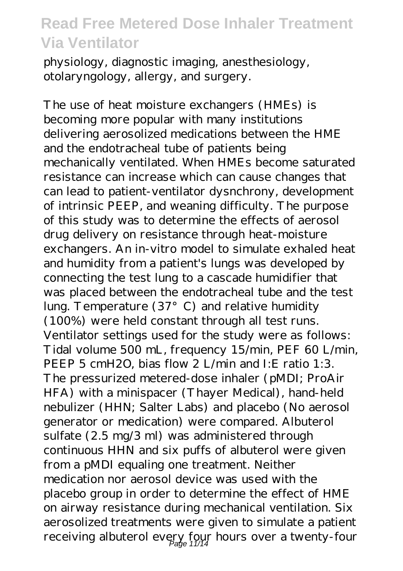physiology, diagnostic imaging, anesthesiology, otolaryngology, allergy, and surgery.

The use of heat moisture exchangers (HMEs) is becoming more popular with many institutions delivering aerosolized medications between the HME and the endotracheal tube of patients being mechanically ventilated. When HMEs become saturated resistance can increase which can cause changes that can lead to patient-ventilator dysnchrony, development of intrinsic PEEP, and weaning difficulty. The purpose of this study was to determine the effects of aerosol drug delivery on resistance through heat-moisture exchangers. An in-vitro model to simulate exhaled heat and humidity from a patient's lungs was developed by connecting the test lung to a cascade humidifier that was placed between the endotracheal tube and the test lung. Temperature (37°C) and relative humidity (100%) were held constant through all test runs. Ventilator settings used for the study were as follows: Tidal volume 500 mL, frequency 15/min, PEF 60 L/min, PEEP 5 cmH2O, bias flow 2 L/min and I:E ratio 1:3. The pressurized metered-dose inhaler (pMDI; ProAir HFA) with a minispacer (Thayer Medical), hand-held nebulizer (HHN; Salter Labs) and placebo (No aerosol generator or medication) were compared. Albuterol sulfate (2.5 mg/3 ml) was administered through continuous HHN and six puffs of albuterol were given from a pMDI equaling one treatment. Neither medication nor aerosol device was used with the placebo group in order to determine the effect of HME on airway resistance during mechanical ventilation. Six aerosolized treatments were given to simulate a patient receiving albuterol every four hours over a twenty-four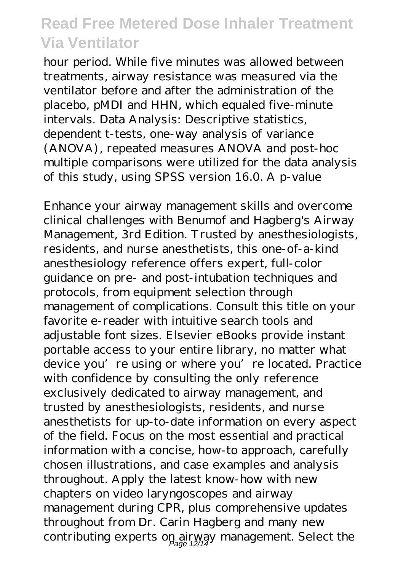hour period. While five minutes was allowed between treatments, airway resistance was measured via the ventilator before and after the administration of the placebo, pMDI and HHN, which equaled five-minute intervals. Data Analysis: Descriptive statistics, dependent t-tests, one-way analysis of variance (ANOVA), repeated measures ANOVA and post-hoc multiple comparisons were utilized for the data analysis of this study, using SPSS version 16.0. A p-value

Enhance your airway management skills and overcome clinical challenges with Benumof and Hagberg's Airway Management, 3rd Edition. Trusted by anesthesiologists, residents, and nurse anesthetists, this one-of-a-kind anesthesiology reference offers expert, full-color guidance on pre- and post-intubation techniques and protocols, from equipment selection through management of complications. Consult this title on your favorite e-reader with intuitive search tools and adjustable font sizes. Elsevier eBooks provide instant portable access to your entire library, no matter what device you're using or where you're located. Practice with confidence by consulting the only reference exclusively dedicated to airway management, and trusted by anesthesiologists, residents, and nurse anesthetists for up-to-date information on every aspect of the field. Focus on the most essential and practical information with a concise, how-to approach, carefully chosen illustrations, and case examples and analysis throughout. Apply the latest know-how with new chapters on video laryngoscopes and airway management during CPR, plus comprehensive updates throughout from Dr. Carin Hagberg and many new contributing experts on airway management. Select the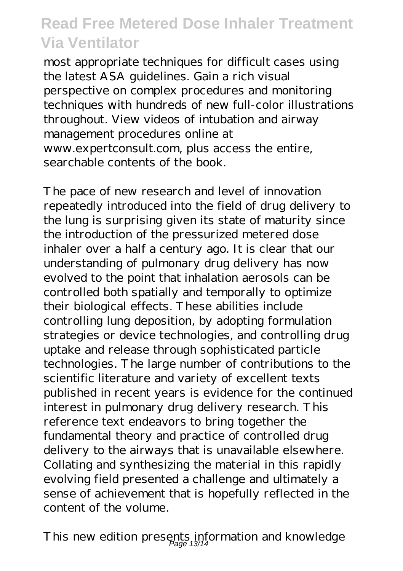most appropriate techniques for difficult cases using the latest ASA guidelines. Gain a rich visual perspective on complex procedures and monitoring techniques with hundreds of new full-color illustrations throughout. View videos of intubation and airway management procedures online at www.expertconsult.com, plus access the entire, searchable contents of the book.

The pace of new research and level of innovation repeatedly introduced into the field of drug delivery to the lung is surprising given its state of maturity since the introduction of the pressurized metered dose inhaler over a half a century ago. It is clear that our understanding of pulmonary drug delivery has now evolved to the point that inhalation aerosols can be controlled both spatially and temporally to optimize their biological effects. These abilities include controlling lung deposition, by adopting formulation strategies or device technologies, and controlling drug uptake and release through sophisticated particle technologies. The large number of contributions to the scientific literature and variety of excellent texts published in recent years is evidence for the continued interest in pulmonary drug delivery research. This reference text endeavors to bring together the fundamental theory and practice of controlled drug delivery to the airways that is unavailable elsewhere. Collating and synthesizing the material in this rapidly evolving field presented a challenge and ultimately a sense of achievement that is hopefully reflected in the content of the volume.

This new edition presents information and knowledge